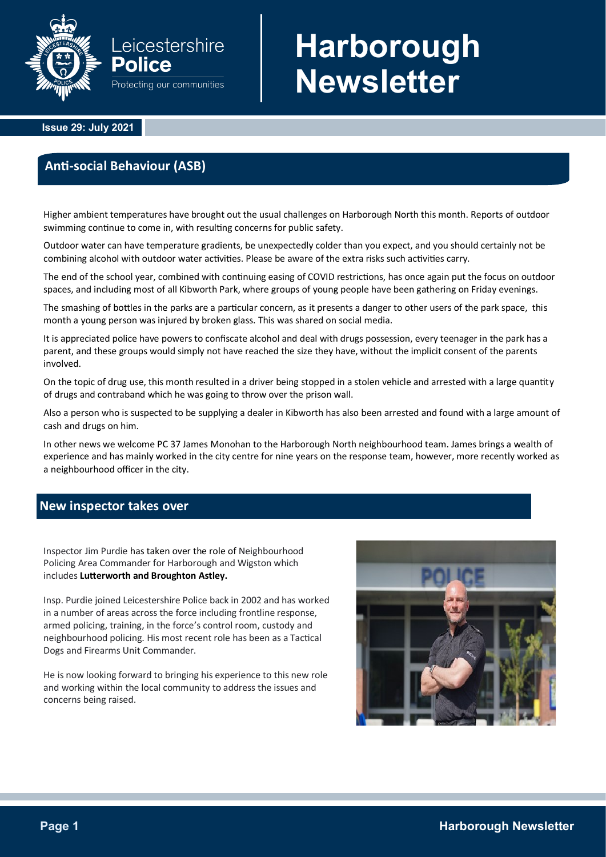

# **Harborough Newsletter**

 **Issue 29: July 2021**

## **Anti-social Behaviour (ASB)**

Higher ambient temperatures have brought out the usual challenges on Harborough North this month. Reports of outdoor swimming continue to come in, with resulting concerns for public safety.

Outdoor water can have temperature gradients, be unexpectedly colder than you expect, and you should certainly not be combining alcohol with outdoor water activities. Please be aware of the extra risks such activities carry.

The end of the school year, combined with continuing easing of COVID restrictions, has once again put the focus on outdoor spaces, and including most of all Kibworth Park, where groups of young people have been gathering on Friday evenings.

The smashing of bottles in the parks are a particular concern, as it presents a danger to other users of the park space, this month a young person was injured by broken glass. This was shared on social media.

It is appreciated police have powers to confiscate alcohol and deal with drugs possession, every teenager in the park has a parent, and these groups would simply not have reached the size they have, without the implicit consent of the parents involved.

On the topic of drug use, this month resulted in a driver being stopped in a stolen vehicle and arrested with a large quantity of drugs and contraband which he was going to throw over the prison wall.

Also a person who is suspected to be supplying a dealer in Kibworth has also been arrested and found with a large amount of cash and drugs on him.

In other news we welcome PC 37 James Monohan to the Harborough North neighbourhood team. James brings a wealth of experience and has mainly worked in the city centre for nine years on the response team, however, more recently worked as a neighbourhood officer in the city.

## **New inspector takes over**

Inspector Jim Purdie has taken over the role of Neighbourhood Policing Area Commander for Harborough and Wigston which includes **Lutterworth and Broughton Astley.** 

Insp. Purdie joined Leicestershire Police back in 2002 and has worked in a number of areas across the force including frontline response, armed policing, training, in the force's control room, custody and neighbourhood policing. His most recent role has been as a Tactical Dogs and Firearms Unit Commander.

He is now looking forward to bringing his experience to this new role and working within the local community to address the issues and concerns being raised.